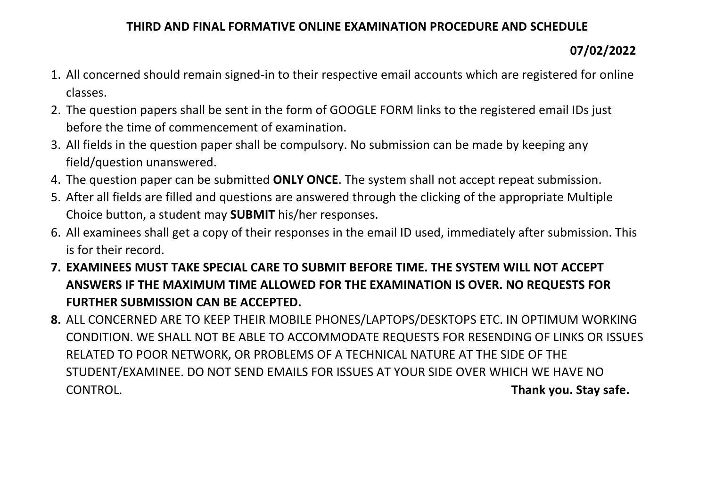## **THIRD AND FINAL FORMATIVE ONLINE EXAMINATION PROCEDURE AND SCHEDULE**

## **07/02/2022**

- 1. All concerned should remain signed-in to their respective email accounts which are registered for online classes.
- 2. The question papers shall be sent in the form of GOOGLE FORM links to the registered email IDs just before the time of commencement of examination.
- 3. All fields in the question paper shall be compulsory. No submission can be made by keeping any field/question unanswered.
- 4. The question paper can be submitted **ONLY ONCE**. The system shall not accept repeat submission.
- 5. After all fields are filled and questions are answered through the clicking of the appropriate Multiple Choice button, a student may **SUBMIT** his/her responses.
- 6. All examinees shall get a copy of their responses in the email ID used, immediately after submission. This is for their record.
- **7. EXAMINEES MUST TAKE SPECIAL CARE TO SUBMIT BEFORE TIME. THE SYSTEM WILL NOT ACCEPT ANSWERS IF THE MAXIMUM TIME ALLOWED FOR THE EXAMINATION IS OVER. NO REQUESTS FOR FURTHER SUBMISSION CAN BE ACCEPTED.**
- **8.** ALL CONCERNED ARE TO KEEP THEIR MOBILE PHONES/LAPTOPS/DESKTOPS ETC. IN OPTIMUM WORKING CONDITION. WE SHALL NOT BE ABLE TO ACCOMMODATE REQUESTS FOR RESENDING OF LINKS OR ISSUES RELATED TO POOR NETWORK, OR PROBLEMS OF A TECHNICAL NATURE AT THE SIDE OF THE STUDENT/EXAMINEE. DO NOT SEND EMAILS FOR ISSUES AT YOUR SIDE OVER WHICH WE HAVE NO CONTROL. **Thank you. Stay safe.**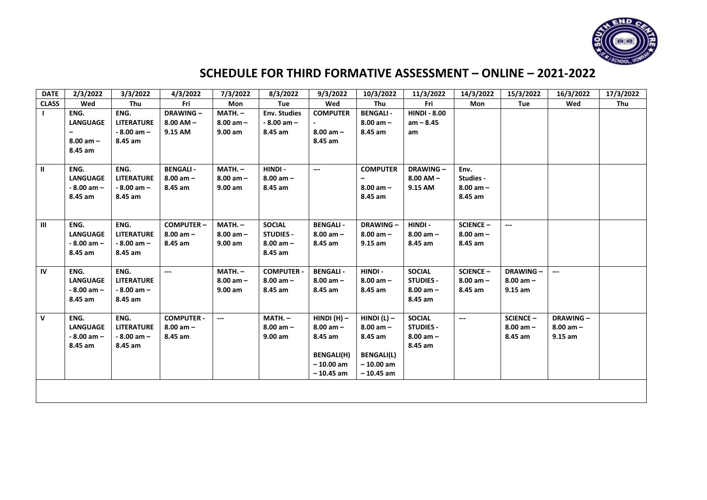

## **SCHEDULE FOR THIRD FORMATIVE ASSESSMENT – ONLINE – 2021-2022**

| <b>DATE</b>  | 2/3/2022        | 3/3/2022          | 4/3/2022          | 7/3/2022                 | 8/3/2022            | 9/3/2022                   | 10/3/2022                  | 11/3/2022           | 14/3/2022        | 15/3/2022        | 16/3/2022        | 17/3/2022 |
|--------------|-----------------|-------------------|-------------------|--------------------------|---------------------|----------------------------|----------------------------|---------------------|------------------|------------------|------------------|-----------|
| <b>CLASS</b> | Wed             | Thu               | Fri               | <b>Mon</b>               | Tue                 | Wed                        | Thu                        | Fri                 | <b>Mon</b>       | Tue              | Wed              | Thu       |
|              | ENG.            | ENG.              | DRAWING-          | $MATH. -$                | <b>Env. Studies</b> | <b>COMPUTER</b>            | <b>BENGALI-</b>            | <b>HINDI - 8.00</b> |                  |                  |                  |           |
|              | <b>LANGUAGE</b> | <b>LITERATURE</b> | $8.00$ AM $-$     | $8.00$ am $-$            | $-8.00$ am $-$      |                            | $8.00$ am $-$              | $am - 8.45$         |                  |                  |                  |           |
|              |                 | $-8.00$ am $-$    | 9.15 AM           | 9.00 am                  | 8.45 am             | $8.00$ am $-$              | 8.45 am                    | am                  |                  |                  |                  |           |
|              | $8.00$ am $-$   | 8.45 am           |                   |                          |                     | 8.45 am                    |                            |                     |                  |                  |                  |           |
|              | 8.45 am         |                   |                   |                          |                     |                            |                            |                     |                  |                  |                  |           |
|              |                 |                   |                   |                          |                     |                            |                            |                     |                  |                  |                  |           |
| $\mathbf{u}$ | ENG.            | ENG.              | <b>BENGALI-</b>   | $MATH. -$                | HINDI -             | $\overline{a}$             | <b>COMPUTER</b>            | <b>DRAWING-</b>     | Env.             |                  |                  |           |
|              | <b>LANGUAGE</b> | <b>LITERATURE</b> | $8.00$ am $-$     | $8.00 am -$              | $8.00$ am $-$       |                            |                            | $8.00$ AM $-$       | Studies -        |                  |                  |           |
|              | $-8.00$ am $-$  | $-8.00$ am $-$    | 8.45 am           | 9.00 a <sub>m</sub>      | 8.45 am             |                            | $8.00$ am $-$              | 9.15 AM             | $8.00$ am $-$    |                  |                  |           |
|              | 8.45 am         | 8.45 am           |                   |                          |                     |                            | 8.45 am                    |                     | 8.45 am          |                  |                  |           |
|              |                 |                   |                   |                          |                     |                            |                            |                     |                  |                  |                  |           |
|              |                 |                   |                   |                          |                     |                            |                            |                     |                  |                  |                  |           |
| Ш            | ENG.            | ENG.              | <b>COMPUTER-</b>  | $MATH. -$                | <b>SOCIAL</b>       | <b>BENGALI-</b>            | <b>DRAWING -</b>           | HINDI -             | <b>SCIENCE -</b> | ---              |                  |           |
|              | <b>LANGUAGE</b> | <b>LITERATURE</b> | $8.00$ am $-$     | $8.00$ am $-$            | <b>STUDIES -</b>    | $8.00$ am $-$              | $8.00$ am $-$              | $8.00$ am $-$       | $8.00$ am $-$    |                  |                  |           |
|              | $-8.00$ am $-$  | $-8.00$ am $-$    | 8.45 am           | 9.00 am                  | $8.00$ am $-$       | 8.45 am                    | $9.15$ am                  | 8.45 am             | 8.45 am          |                  |                  |           |
|              | 8.45 am         | 8.45 am           |                   |                          | 8.45 am             |                            |                            |                     |                  |                  |                  |           |
|              |                 |                   |                   |                          |                     |                            |                            |                     |                  |                  |                  |           |
| <b>IV</b>    | ENG.            | ENG.              | ---               | $MATH. -$                | <b>COMPUTER -</b>   | <b>BENGALI-</b>            | HINDI -                    | <b>SOCIAL</b>       | <b>SCIENCE -</b> | <b>DRAWING-</b>  | ---              |           |
|              | <b>LANGUAGE</b> | <b>LITERATURE</b> |                   | $8.00$ am $-$            | $8.00$ am $-$       | $8.00$ am $-$              | $8.00$ am $-$              | <b>STUDIES -</b>    | $8.00$ am $-$    | $8.00$ am $-$    |                  |           |
|              | $-8.00$ am $-$  | $-8.00$ am $-$    |                   | 9.00 am                  | 8.45 am             | 8.45 am                    | 8.45 am                    | $8.00$ am $-$       | 8.45 am          | $9.15$ am        |                  |           |
|              | 8.45 am         | 8.45 am           |                   |                          |                     |                            |                            | 8.45 am             |                  |                  |                  |           |
|              |                 |                   |                   |                          |                     |                            |                            |                     |                  |                  |                  |           |
| $\mathbf v$  | ENG.            | ENG.              | <b>COMPUTER -</b> | $\hspace{0.05cm} \ldots$ | $MATH. -$           | $HINDI(H)$ -               | HINDI $(L)$ –              | <b>SOCIAL</b>       | ---              | <b>SCIENCE -</b> | <b>DRAWING -</b> |           |
|              | <b>LANGUAGE</b> | <b>LITERATURE</b> | $8.00$ am $-$     |                          | $8.00$ am $-$       | $8.00$ am $-$              | $8.00$ am $-$              | <b>STUDIES -</b>    |                  | $8.00$ am $-$    | $8.00$ am $-$    |           |
|              | $-8.00$ am $-$  | $-8.00$ am $-$    | 8.45 am           |                          | 9.00 am             | 8.45 am                    | 8.45 am                    | $8.00$ am $-$       |                  | 8.45 am          | $9.15$ am        |           |
|              | 8.45 am         | 8.45 am           |                   |                          |                     |                            |                            | 8.45 am             |                  |                  |                  |           |
|              |                 |                   |                   |                          |                     | <b>BENGALI(H)</b>          | <b>BENGALI(L)</b>          |                     |                  |                  |                  |           |
|              |                 |                   |                   |                          |                     | $-10.00$ am<br>$-10.45$ am | $-10.00$ am<br>$-10.45$ am |                     |                  |                  |                  |           |
|              |                 |                   |                   |                          |                     |                            |                            |                     |                  |                  |                  |           |
|              |                 |                   |                   |                          |                     |                            |                            |                     |                  |                  |                  |           |
|              |                 |                   |                   |                          |                     |                            |                            |                     |                  |                  |                  |           |